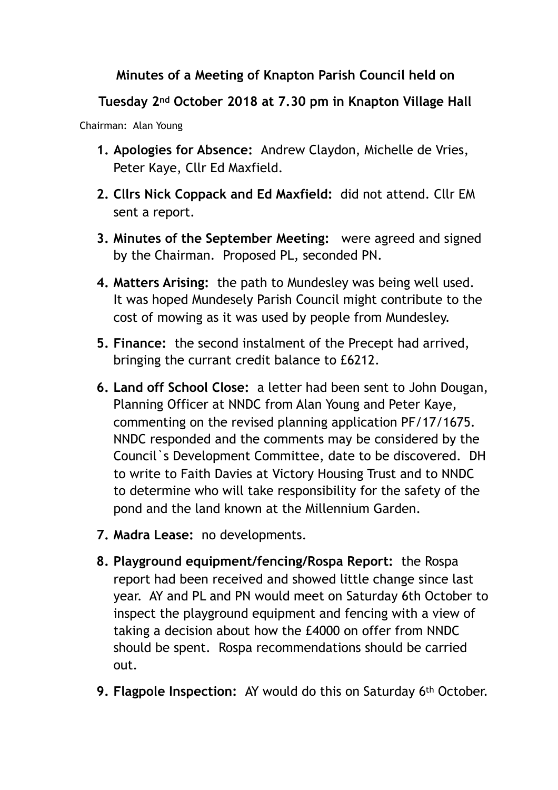## **Minutes of a Meeting of Knapton Parish Council held on**

## **Tuesday 2nd October 2018 at 7.30 pm in Knapton Village Hall**

Chairman: Alan Young

- **1. Apologies for Absence:** Andrew Claydon, Michelle de Vries, Peter Kaye, Cllr Ed Maxfield.
- **2. Cllrs Nick Coppack and Ed Maxfield:** did not attend. Cllr EM sent a report.
- **3. Minutes of the September Meeting:** were agreed and signed by the Chairman. Proposed PL, seconded PN.
- **4. Matters Arising:** the path to Mundesley was being well used. It was hoped Mundesely Parish Council might contribute to the cost of mowing as it was used by people from Mundesley.
- **5. Finance:** the second instalment of the Precept had arrived, bringing the currant credit balance to £6212.
- **6. Land off School Close:** a letter had been sent to John Dougan, Planning Officer at NNDC from Alan Young and Peter Kaye, commenting on the revised planning application PF/17/1675. NNDC responded and the comments may be considered by the Council`s Development Committee, date to be discovered. DH to write to Faith Davies at Victory Housing Trust and to NNDC to determine who will take responsibility for the safety of the pond and the land known at the Millennium Garden.
- **7. Madra Lease:** no developments.
- **8. Playground equipment/fencing/Rospa Report:** the Rospa report had been received and showed little change since last year. AY and PL and PN would meet on Saturday 6th October to inspect the playground equipment and fencing with a view of taking a decision about how the £4000 on offer from NNDC should be spent. Rospa recommendations should be carried out.
- **9. Flagpole Inspection:** AY would do this on Saturday 6th October.